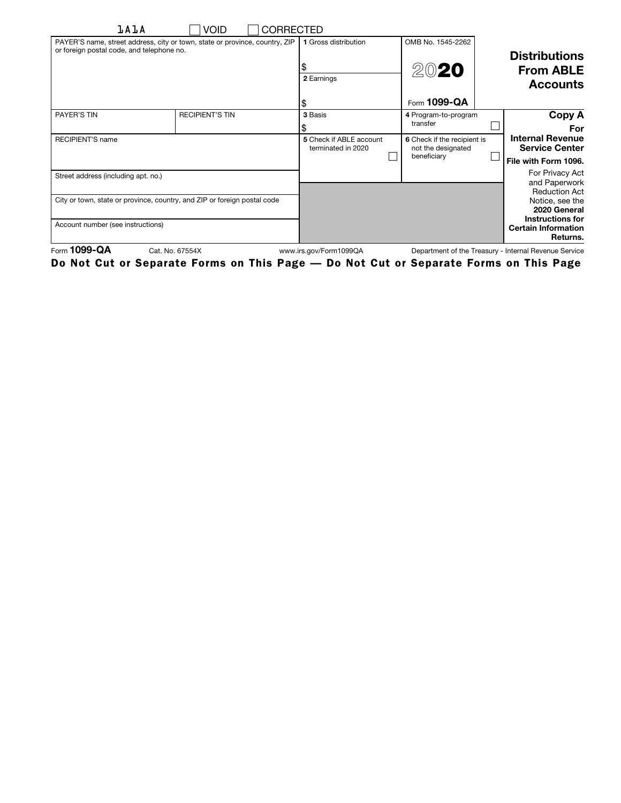| <b>LALA</b>                                                                                                              | Void<br>CORRECTED      |                                               |                                                                  |  |                                                            |
|--------------------------------------------------------------------------------------------------------------------------|------------------------|-----------------------------------------------|------------------------------------------------------------------|--|------------------------------------------------------------|
| PAYER'S name, street address, city or town, state or province, country, ZIP<br>or foreign postal code, and telephone no. |                        | 1 Gross distribution                          | OMB No. 1545-2262                                                |  | <b>Distributions</b>                                       |
|                                                                                                                          |                        | 2 Earnings                                    | 2020                                                             |  | <b>From ABLE</b><br><b>Accounts</b>                        |
|                                                                                                                          |                        | \$                                            | Form 1099-QA                                                     |  |                                                            |
| PAYER'S TIN                                                                                                              | <b>RECIPIENT'S TIN</b> | 3 Basis                                       | 4 Program-to-program<br>transfer                                 |  | Copy A<br>For                                              |
| <b>RECIPIENT'S name</b>                                                                                                  |                        | 5 Check if ABLE account<br>terminated in 2020 | 6 Check if the recipient is<br>not the designated<br>beneficiary |  | <b>Internal Revenue</b><br><b>Service Center</b>           |
|                                                                                                                          |                        |                                               |                                                                  |  | File with Form 1096.                                       |
| Street address (including apt. no.)                                                                                      |                        |                                               |                                                                  |  | For Privacy Act<br>and Paperwork<br><b>Reduction Act</b>   |
| City or town, state or province, country, and ZIP or foreign postal code                                                 |                        |                                               |                                                                  |  | Notice, see the<br>2020 General                            |
| Account number (see instructions)                                                                                        |                        |                                               |                                                                  |  | Instructions for<br><b>Certain Information</b><br>Returns. |
| Form 1099-QA<br>Cat. No. 67554X<br>www.irs.gov/Form1099QA<br>Department of the Treasury - Internal Revenue Service       |                        |                                               |                                                                  |  |                                                            |

Do Not Cut or Separate Forms on This Page — Do Not Cut or Separate Forms on This Page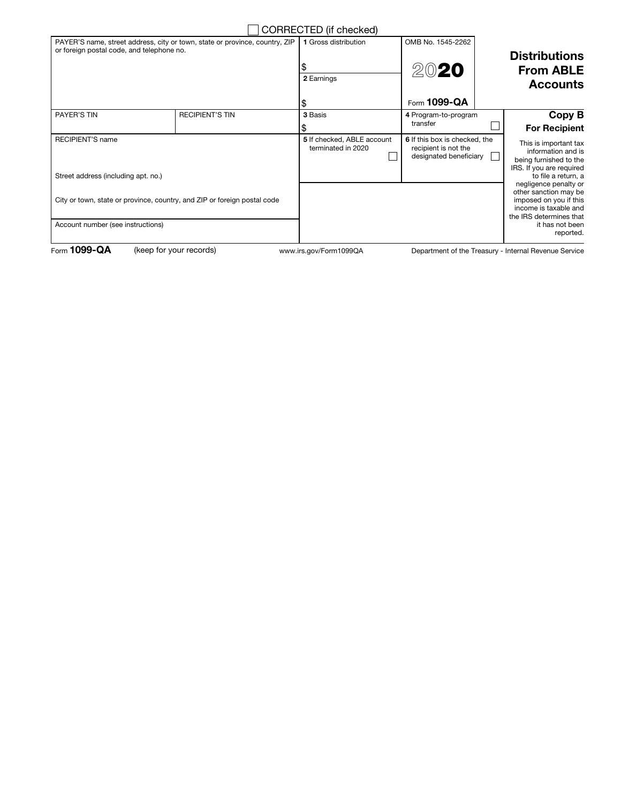|                                                                                                                          |                        | CORRECTED (if checked)                           |                                                                                 |  |                                                                                                                                                              |
|--------------------------------------------------------------------------------------------------------------------------|------------------------|--------------------------------------------------|---------------------------------------------------------------------------------|--|--------------------------------------------------------------------------------------------------------------------------------------------------------------|
| PAYER'S name, street address, city or town, state or province, country, ZIP<br>or foreign postal code, and telephone no. |                        | 1 Gross distribution                             | OMB No. 1545-2262                                                               |  | <b>Distributions</b>                                                                                                                                         |
|                                                                                                                          |                        | 2 Earnings                                       | 2020                                                                            |  | <b>From ABLE</b>                                                                                                                                             |
|                                                                                                                          |                        |                                                  |                                                                                 |  | <b>Accounts</b>                                                                                                                                              |
|                                                                                                                          |                        | S                                                | Form 1099-QA                                                                    |  |                                                                                                                                                              |
| <b>PAYER'S TIN</b>                                                                                                       | <b>RECIPIENT'S TIN</b> | 3 Basis                                          | 4 Program-to-program                                                            |  | Copy B                                                                                                                                                       |
|                                                                                                                          |                        |                                                  | transfer                                                                        |  | <b>For Recipient</b>                                                                                                                                         |
| <b>RECIPIENT'S name</b>                                                                                                  |                        | 5 If checked, ABLE account<br>terminated in 2020 | 6 If this box is checked, the<br>recipient is not the<br>designated beneficiary |  | This is important tax<br>information and is<br>being furnished to the<br>IRS. If you are required                                                            |
| Street address (including apt. no.)                                                                                      |                        |                                                  |                                                                                 |  | to file a return, a                                                                                                                                          |
| City or town, state or province, country, and ZIP or foreign postal code<br>Account number (see instructions)            |                        |                                                  |                                                                                 |  | negligence penalty or<br>other sanction may be<br>imposed on you if this<br>income is taxable and<br>the IRS determines that<br>it has not been<br>reported. |
|                                                                                                                          |                        |                                                  |                                                                                 |  |                                                                                                                                                              |

Form 1099-QA (keep for your records) www.irs.gov/Form1099QA

Department of the Treasury - Internal Revenue Service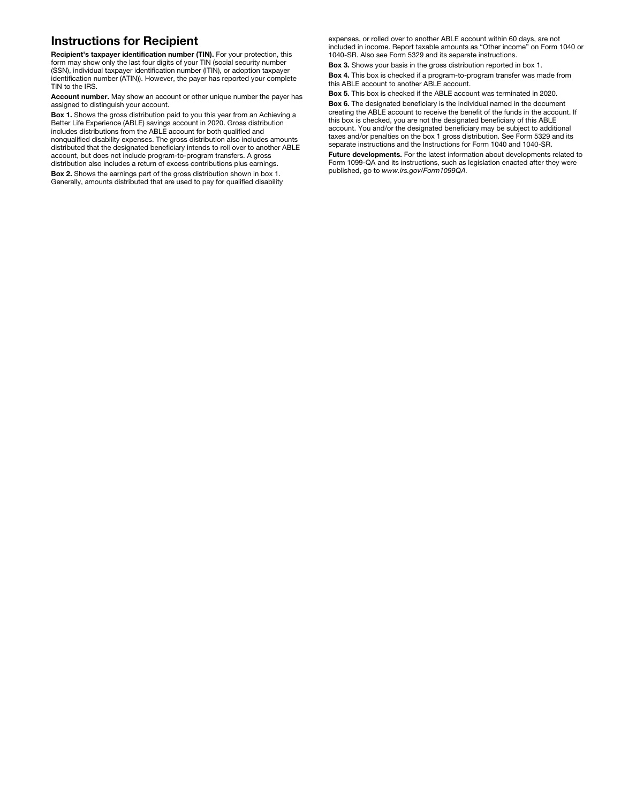## Instructions for Recipient

Recipient's taxpayer identification number (TIN). For your protection, this form may show only the last four digits of your TIN (social security number (SSN), individual taxpayer identification number (ITIN), or adoption taxpayer identification number (ATIN)). However, the payer has reported your complete TIN to the IRS.

Account number. May show an account or other unique number the payer has assigned to distinguish your account.

Box 1. Shows the gross distribution paid to you this year from an Achieving a Better Life Experience (ABLE) savings account in 2020. Gross distribution includes distributions from the ABLE account for both qualified and nonqualified disability expenses. The gross distribution also includes amounts distributed that the designated beneficiary intends to roll over to another ABLE account, but does not include program-to-program transfers. A gross distribution also includes a return of excess contributions plus earnings.

Box 2. Shows the earnings part of the gross distribution shown in box 1. Generally, amounts distributed that are used to pay for qualified disability expenses, or rolled over to another ABLE account within 60 days, are not included in income. Report taxable amounts as "Other income" on Form 1040 or 1040-SR. Also see Form 5329 and its separate instructions.

Box 3. Shows your basis in the gross distribution reported in box 1.

Box 4. This box is checked if a program-to-program transfer was made from this ABLE account to another ABLE account.

Box 5. This box is checked if the ABLE account was terminated in 2020.

Box 6. The designated beneficiary is the individual named in the document creating the ABLE account to receive the benefit of the funds in the account. If this box is checked, you are not the designated beneficiary of this ABLE account. You and/or the designated beneficiary may be subject to additional taxes and/or penalties on the box 1 gross distribution. See Form 5329 and its separate instructions and the Instructions for Form 1040 and 1040-SR.

Future developments. For the latest information about developments related to Form 1099-QA and its instructions, such as legislation enacted after they were published, go to *www.irs.gov/Form1099QA.*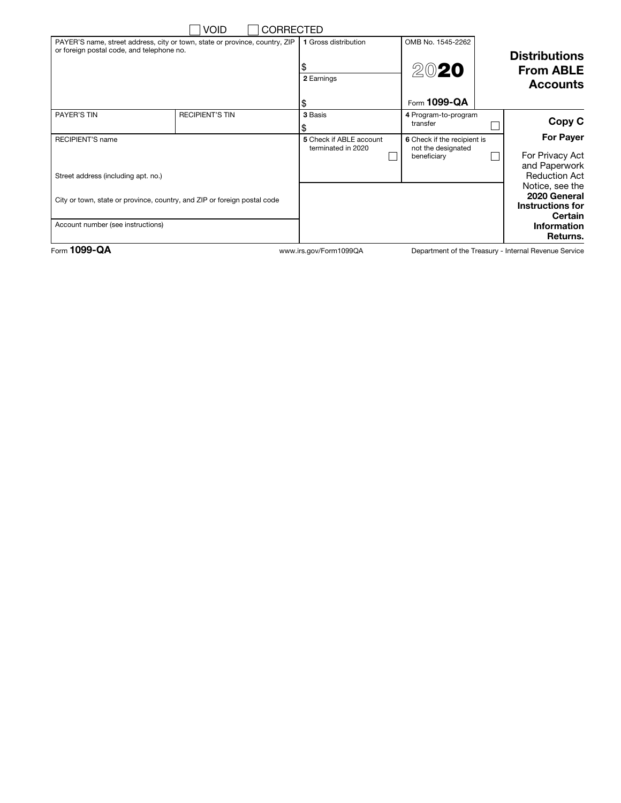|                                                                                                                          | <b>VOID</b><br><b>CORRECTED</b> |                                               |                                                                  |  |                                                                              |
|--------------------------------------------------------------------------------------------------------------------------|---------------------------------|-----------------------------------------------|------------------------------------------------------------------|--|------------------------------------------------------------------------------|
| PAYER'S name, street address, city or town, state or province, country, ZIP<br>or foreign postal code, and telephone no. |                                 | 1 Gross distribution                          | OMB No. 1545-2262                                                |  | <b>Distributions</b>                                                         |
|                                                                                                                          |                                 | 2 Earnings                                    | 2020                                                             |  | <b>From ABLE</b><br><b>Accounts</b>                                          |
|                                                                                                                          |                                 | \$                                            | Form 1099-QA                                                     |  |                                                                              |
| PAYER'S TIN                                                                                                              | <b>RECIPIENT'S TIN</b>          | 3 Basis                                       | 4 Program-to-program<br>transfer                                 |  | Copy C                                                                       |
| <b>RECIPIENT'S name</b><br>Street address (including apt. no.)                                                           |                                 | 5 Check if ABLE account<br>terminated in 2020 | 6 Check if the recipient is<br>not the designated<br>beneficiary |  | <b>For Payer</b><br>For Privacy Act<br>and Paperwork<br><b>Reduction Act</b> |
| City or town, state or province, country, and ZIP or foreign postal code                                                 |                                 |                                               |                                                                  |  | Notice, see the<br>2020 General<br>Instructions for<br><b>Certain</b>        |
| Account number (see instructions)                                                                                        |                                 |                                               |                                                                  |  | <b>Information</b><br>Returns.                                               |

Form 1099-QA www.irs.gov/Form1099QA

Department of the Treasury - Internal Revenue Service